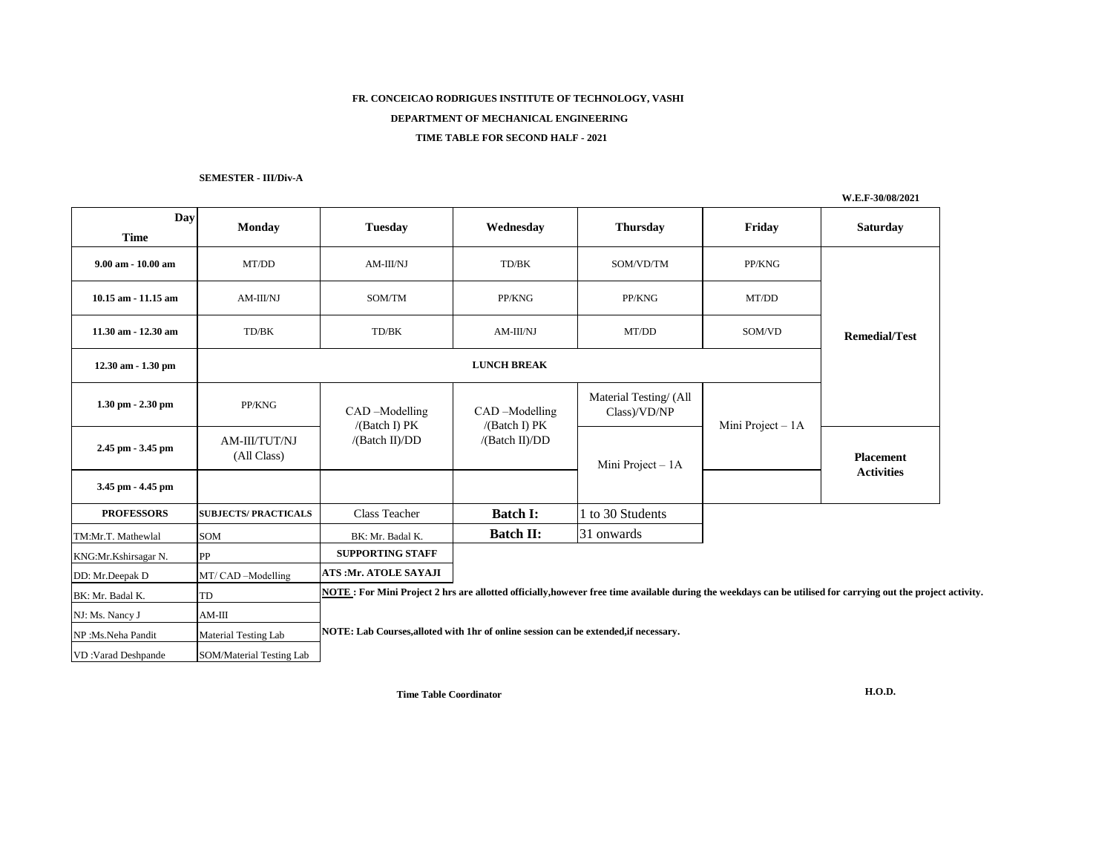# **FR. CONCEICAO RODRIGUES INSTITUTE OF TECHNOLOGY, VASHI DEPARTMENT OF MECHANICAL ENGINEERING TIME TABLE FOR SECOND HALF - 2021**

## **SEMESTER - III/Div-A**

**W.E.F-30/08/2021**

| Day<br><b>Time</b>    | <b>Monday</b>                | <b>Tuesday</b>                                                                                                                                               | Wednesday                                        | <b>Thursday</b>                       | Friday            | <b>Saturday</b>      |  |  |  |  |
|-----------------------|------------------------------|--------------------------------------------------------------------------------------------------------------------------------------------------------------|--------------------------------------------------|---------------------------------------|-------------------|----------------------|--|--|--|--|
| 9.00 am - 10.00 am    | MT/DD                        | AM-III/NJ                                                                                                                                                    | TD/BK                                            | SOM/VD/TM                             | PP/KNG            |                      |  |  |  |  |
| 10.15 am - 11.15 am   | AM-III/NJ                    | SOM/TM                                                                                                                                                       | PP/KNG                                           | PP/KNG                                | MT/DD             |                      |  |  |  |  |
| 11.30 am - 12.30 am   | TD/BK                        | TD/BK                                                                                                                                                        | AM-III/NJ                                        | MT/DD                                 | SOM/VD            | <b>Remedial/Test</b> |  |  |  |  |
| 12.30 am - 1.30 pm    |                              |                                                                                                                                                              |                                                  |                                       |                   |                      |  |  |  |  |
| $1.30$ pm $- 2.30$ pm | PP/KNG                       | CAD-Modelling<br>/(Batch I) PK<br>/(Batch II)/DD                                                                                                             | CAD-Modelling<br>/(Batch I) PK<br>/(Batch II)/DD | Material Testing/(All<br>Class)/VD/NP | Mini Project - 1A |                      |  |  |  |  |
| 2.45 pm - 3.45 pm     | AM-III/TUT/NJ<br>(All Class) |                                                                                                                                                              |                                                  | Mini Project - 1A                     |                   | <b>Placement</b>     |  |  |  |  |
| 3.45 pm - 4.45 pm     |                              |                                                                                                                                                              |                                                  |                                       |                   | <b>Activities</b>    |  |  |  |  |
| <b>PROFESSORS</b>     | <b>SUBJECTS/PRACTICALS</b>   | <b>Class Teacher</b>                                                                                                                                         | <b>Batch I:</b>                                  | 1 to 30 Students                      |                   |                      |  |  |  |  |
| TM:Mr.T. Mathewlal    | SOM                          | BK: Mr. Badal K.                                                                                                                                             | <b>Batch II:</b>                                 | 31 onwards                            |                   |                      |  |  |  |  |
| KNG:Mr.Kshirsagar N.  | PP                           | <b>SUPPORTING STAFF</b>                                                                                                                                      |                                                  |                                       |                   |                      |  |  |  |  |
| DD: Mr.Deepak D       | MT/ CAD -Modelling           | ATS: Mr. ATOLE SAYAJI                                                                                                                                        |                                                  |                                       |                   |                      |  |  |  |  |
| BK: Mr. Badal K.      | ΓD                           | NOTE: For Mini Project 2 hrs are allotted officially, however free time available during the weekdays can be utilised for carrying out the project activity. |                                                  |                                       |                   |                      |  |  |  |  |
| NJ: Ms. Nancy J       | $AM-III$                     | NOTE: Lab Courses, alloted with 1hr of online session can be extended, if necessary.                                                                         |                                                  |                                       |                   |                      |  |  |  |  |
| NP:Ms.Neha Pandit     | <b>Material Testing Lab</b>  |                                                                                                                                                              |                                                  |                                       |                   |                      |  |  |  |  |
| VD:Varad Deshpande    | SOM/Material Testing Lab     |                                                                                                                                                              |                                                  |                                       |                   |                      |  |  |  |  |

**Time Table Coordinator**

**H.O.D.**